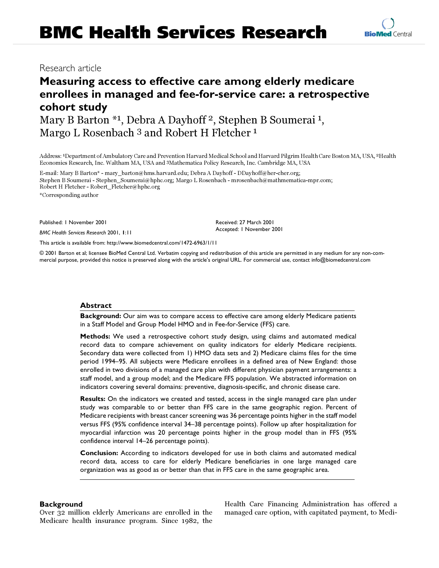## Research article

# **Measuring access to effective care among elderly medicare enrollees in managed and fee-for-service care: a retrospective cohort study**

Mary B Barton \*1, Debra A Dayhoff 2, Stephen B Soumerai 1, Margo L Rosenbach 3 and Robert H Fletcher<sup>1</sup>

Address: 1Department of Ambulatory Care and Prevention Harvard Medical School and Harvard Pilgrim Health Care Boston MA, USA, 2Health Economics Research, Inc. Waltham MA, USA and 3Mathematica Policy Research, Inc. Cambridge MA, USA

> Received: 27 March 2001 Accepted: 1 November 2001

E-mail: Mary B Barton\* - mary\_barton@hms.harvard.edu; Debra A Dayhoff - DDayhoff@her-cher.org; Stephen B Soumerai - Stephen\_Soumerai@hphc.org; Margo L Rosenbach - mrosenbach@mathmematica-mpr.com; Robert H Fletcher - Robert\_Fletcher@hphc.org

\*Corresponding author

Published: 1 November 2001

*BMC Health Services Research* 2001, **1**:11

[This article is available from: http://www.biomedcentral.com/1472-6963/1/11](http://www.biomedcentral.com/1472-6963/1/11)

© 2001 Barton et al; licensee BioMed Central Ltd. Verbatim copying and redistribution of this article are permitted in any medium for any non-commercial purpose, provided this notice is preserved along with the article's original URL. For commercial use, contact info@biomedcentral.com

## **Abstract**

**Background:** Our aim was to compare access to effective care among elderly Medicare patients in a Staff Model and Group Model HMO and in Fee-for-Service (FFS) care.

**Methods:** We used a retrospective cohort study design, using claims and automated medical record data to compare achievement on quality indicators for elderly Medicare recipients. Secondary data were collected from 1) HMO data sets and 2) Medicare claims files for the time period 1994–95. All subjects were Medicare enrollees in a defined area of New England: those enrolled in two divisions of a managed care plan with different physician payment arrangements: a staff model, and a group model; and the Medicare FFS population. We abstracted information on indicators covering several domains: preventive, diagnosis-specific, and chronic disease care.

**Results:** On the indicators we created and tested, access in the single managed care plan under study was comparable to or better than FFS care in the same geographic region. Percent of Medicare recipients with breast cancer screening was 36 percentage points higher in the staff model versus FFS (95% confidence interval 34–38 percentage points). Follow up after hospitalization for myocardial infarction was 20 percentage points higher in the group model than in FFS (95% confidence interval 14–26 percentage points).

**Conclusion:** According to indicators developed for use in both claims and automated medical record data, access to care for elderly Medicare beneficiaries in one large managed care organization was as good as or better than that in FFS care in the same geographic area.

## **Background**

Over 32 million elderly Americans are enrolled in the Medicare health insurance program. Since 1982, the

Health Care Financing Administration has offered a managed care option, with capitated payment, to Medi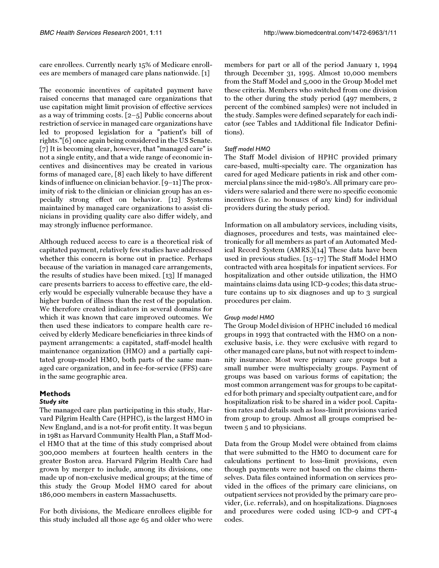care enrollees. Currently nearly 15% of Medicare enrollees are members of managed care plans nationwide. [[1](#page-7-0)]

The economic incentives of capitated payment have raised concerns that managed care organizations that use capitation might limit provision of effective services as a way of trimming costs. [\[2](#page-7-1)–[5\]](#page-7-2) Public concerns about restriction of service in managed care organizations have led to proposed legislation for a "patient's bill of rights."[\[6](#page-7-3)] once again being considered in the US Senate. [[7\]](#page-7-4) It is becoming clear, however, that "managed care" is not a single entity, and that a wide range of economic incentives and disincentives may be created in various forms of managed care, [[8](#page-7-5)] each likely to have different kinds of influence on clinician behavior. [[9](#page-7-6)–[11](#page-7-7)] The proximity of risk to the clinician or clinician group has an especially strong effect on behavior. [[12](#page-7-8)] Systems maintained by managed care organizations to assist clinicians in providing quality care also differ widely, and may strongly influence performance.

Although reduced access to care is a theoretical risk of capitated payment, relatively few studies have addressed whether this concern is borne out in practice. Perhaps because of the variation in managed care arrangements, the results of studies have been mixed. [[13](#page-7-9)] If managed care presents barriers to access to effective care, the elderly would be especially vulnerable because they have a higher burden of illness than the rest of the population. We therefore created indicators in several domains for which it was known that care improved outcomes. We then used these indicators to compare health care received by elderly Medicare beneficiaries in three kinds of payment arrangements: a capitated, staff-model health maintenance organization (HMO) and a partially capitated group-model HMO, both parts of the same managed care organization, and in fee-for-service (FFS) care in the same geographic area.

## **Methods**

## *Study site*

The managed care plan participating in this study, Harvard Pilgrim Health Care (HPHC), is the largest HMO in New England, and is a not-for profit entity. It was begun in 1981 as Harvard Community Health Plan, a Staff Model HMO that at the time of this study comprised about 300,000 members at fourteen health centers in the greater Boston area. Harvard Pilgrim Health Care had grown by merger to include, among its divisions, one made up of non-exclusive medical groups; at the time of this study the Group Model HMO cared for about 186,000 members in eastern Massachusetts.

For both divisions, the Medicare enrollees eligible for this study included all those age 65 and older who were

members for part or all of the period January 1, 1994 through December 31, 1995. Almost 10,000 members from the Staff Model and 5,000 in the Group Model met these criteria. Members who switched from one division to the other during the study period (497 members, 2 percent of the combined samples) were not included in the study. Samples were defined separately for each indicator (see Tables and [1](#page-6-0)Additional file Indicator Definitions).

## *Staff model HMO*

The Staff Model division of HPHC provided primary care-based, multi-specialty care. The organization has cared for aged Medicare patients in risk and other commercial plans since the mid-1980's. All primary care providers were salaried and there were no specific economic incentives (i.e. no bonuses of any kind) for individual providers during the study period.

Information on all ambulatory services, including visits, diagnoses, procedures and tests, was maintained electronically for all members as part of an Automated Medical Record System (AMRS.)[[14\]](#page-7-10) These data have been used in previous studies. [[15](#page-7-11)[–17](#page-7-12)] The Staff Model HMO contracted with area hospitals for inpatient services. For hospitalization and other outside utilization, the HMO maintains claims data using ICD-9 codes; this data structure contains up to six diagnoses and up to 3 surgical procedures per claim.

## *Group model HMO*

The Group Model division of HPHC included 16 medical groups in 1993 that contracted with the HMO on a nonexclusive basis, i.e. they were exclusive with regard to other managed care plans, but not with respect to indemnity insurance. Most were primary care groups but a small number were multispecialty groups. Payment of groups was based on various forms of capitation; the most common arrangement was for groups to be capitated for both primary and specialty outpatient care, and for hospitalization risk to be shared in a wider pool. Capitation rates and details such as loss-limit provisions varied from group to group. Almost all groups comprised between 5 and 10 physicians.

Data from the Group Model were obtained from claims that were submitted to the HMO to document care for calculations pertinent to loss-limit provisions, even though payments were not based on the claims themselves. Data files contained information on services provided in the offices of the primary care clinicians, on outpatient services not provided by the primary care provider, (i.e. referrals), and on hospitalizations. Diagnoses and procedures were coded using ICD-9 and CPT-4 codes.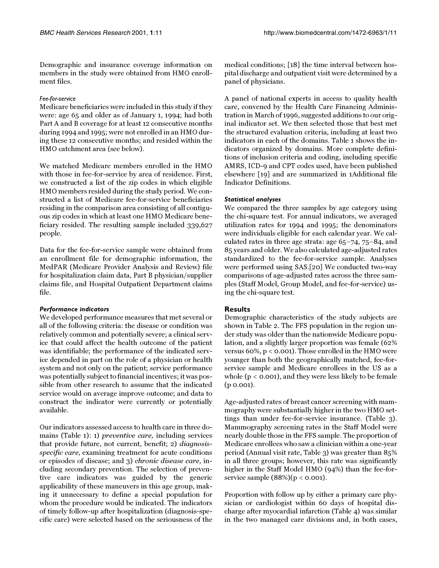Demographic and insurance coverage information on members in the study were obtained from HMO enrollment files.

## *Fee-for-service*

Medicare beneficiaries were included in this study if they were: age 65 and older as of January 1, 1994; had both Part A and B coverage for at least 12 consecutive months during 1994 and 1995; were not enrolled in an HMO during these 12 consecutive months; and resided within the HMO catchment area (see below).

We matched Medicare members enrolled in the HMO with those in fee-for-service by area of residence. First, we constructed a list of the zip codes in which eligible HMO members resided during the study period. We constructed a list of Medicare fee-for-service beneficiaries residing in the comparison area consisting of all contiguous zip codes in which at least one HMO Medicare beneficiary resided. The resulting sample included 339,627 people.

Data for the fee-for-service sample were obtained from an enrollment file for demographic information, the MedPAR (Medicare Provider Analysis and Review) file for hospitalization claim data, Part B physician/supplier claims file, and Hospital Outpatient Department claims file.

## *Performance indicators*

We developed performance measures that met several or all of the following criteria: the disease or condition was relatively common and potentially severe; a clinical service that could affect the health outcome of the patient was identifiable; the performance of the indicated service depended in part on the role of a physician or health system and not only on the patient; service performance was potentially subject to financial incentives; it was possible from other research to assume that the indicated service would on average improve outcome; and data to construct the indicator were currently or potentially available.

Our indicators assessed access to health care in three domains (Table [1](#page-2-0)): 1) preventive care, including services that provide future, not current, benefit; 2) diagnosisspecific care, examining treatment for acute conditions or episodes of disease; and 3) chronic disease care, including secondary prevention. The selection of preventive care indicators was guided by the generic applicability of these maneuvers in this age group, making it unnecessary to define a special population for whom the procedure would be indicated. The indicators of timely follow-up after hospitalization (diagnosis-specific care) were selected based on the seriousness of the

medical conditions; [[18\]](#page-7-13) the time interval between hospital discharge and outpatient visit were determined by a panel of physicians.

A panel of national experts in access to quality health care, convened by the Health Care Financing Administration in March of 1996, suggested additions to our original indicator set. We then selected those that best met the structured evaluation criteria, including at least two indicators in each of the domains. Table [1](#page-2-0) shows the indicators organized by domains. More complete definitions of inclusion criteria and coding, including specific AMRS, ICD-9 and CPT codes used, have been published elsewhere [\[19\]](#page-7-14) and are summarized in [1](#page-6-0)Additional file Indicator Definitions.

### *Statistical analyses*

<span id="page-2-0"></span>We compared the three samples by age category using the chi-square test. For annual indicators, we averaged utilization rates for 1994 and 1995; the denominators were individuals eligible for each calendar year. We calculated rates in three age strata: age 65–74, 75–84, and 85 years and older. We also calculated age-adjusted rates standardized to the fee-for-service sample. Analyses were performed using SAS.[\[20](#page-7-15)] We conducted two-way comparisons of age-adjusted rates across the three samples (Staff Model, Group Model, and fee-for-service) using the chi-square test.

## **Results**

<span id="page-2-1"></span>Demographic characteristics of the study subjects are shown in Table [2](#page-2-1). The FFS population in the region under study was older than the nationwide Medicare population, and a slightly larger proportion was female (62% versus 60%, p < 0.001). Those enrolled in the HMO were younger than both the geographically matched, fee-forservice sample and Medicare enrollees in the US as a whole ( $p < 0.001$ ), and they were less likely to be female (p 0.001).

Age-adjusted rates of breast cancer screening with mammography were substantially higher in the two HMO settings than under fee-for-service insurance. (Table [3\)](#page-2-2). Mammography screening rates in the Staff Model were nearly double those in the FFS sample. The proportion of Medicare enrollees who saw a clinician within a one-year period (Annual visit rate, Table [3](#page-2-2)) was greater than 85% in all three groups; however, this rate was significantly higher in the Staff Model HMO (94%) than the fee-forservice sample (88%)(p < 0.001).

<span id="page-2-2"></span>Proportion with follow up by either a primary care physician or cardiologist within 60 days of hospital discharge after myocardial infarction (Table [4](#page-3-0)) was similar in the two managed care divisions and, in both cases,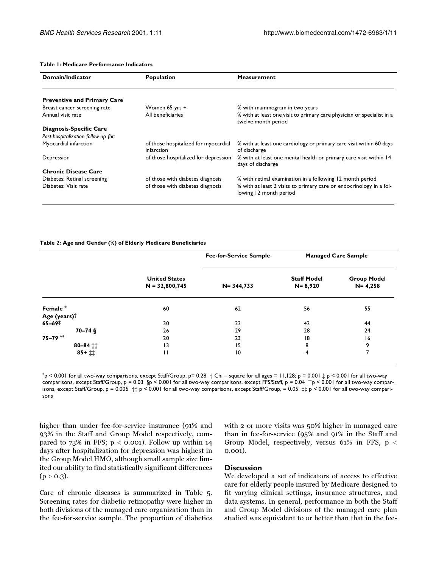### **Table 1: Medicare Performance Indicators**

| Domain/Indicator                    | <b>Population</b>                                  | <b>Measurement</b>                                                                            |
|-------------------------------------|----------------------------------------------------|-----------------------------------------------------------------------------------------------|
| <b>Preventive and Primary Care</b>  |                                                    |                                                                                               |
| Breast cancer screening rate        | Women 65 yrs +                                     | % with mammogram in two years                                                                 |
| Annual visit rate                   | All beneficiaries                                  | % with at least one visit to primary care physician or specialist in a<br>twelve month period |
| Diagnosis-Specific Care             |                                                    |                                                                                               |
| Post-hospitalization follow-up for: |                                                    |                                                                                               |
| Myocardial infarction               | of those hospitalized for myocardial<br>infarction | % with at least one cardiology or primary care visit within 60 days<br>of discharge           |
| Depression                          | of those hospitalized for depression               | % with at least one mental health or primary care visit within 14<br>days of discharge        |
| <b>Chronic Disease Care</b>         |                                                    |                                                                                               |
| Diabetes: Retinal screening         | of those with diabetes diagnosis                   | % with retinal examination in a following 12 month period                                     |
| Diabetes: Visit rate                | of those with diabetes diagnosis                   | % with at least 2 visits to primary care or endocrinology in a fol-<br>lowing 12 month period |

#### **Table 2: Age and Gender (%) of Elderly Medicare Beneficiaries**

|                          | <b>United States</b><br>$N = 32,800,745$ | <b>Fee-for-Service Sample</b> | <b>Managed Care Sample</b>        |                                   |
|--------------------------|------------------------------------------|-------------------------------|-----------------------------------|-----------------------------------|
|                          |                                          | $N = 344,733$                 | <b>Staff Model</b><br>$N = 8,920$ | <b>Group Model</b><br>$N = 4,258$ |
| Female*                  | 60                                       | 62                            | 56                                | 55                                |
| Age (years) <sup>†</sup> |                                          |                               |                                   |                                   |
| $65 - 69$ <sup>‡</sup>   | 30                                       | 23                            | 42                                | 44                                |
| $70 - 748$               | 26                                       | 29                            | 28                                | 24                                |
| $75 - 79$ **             | 20                                       | 23                            | 18                                | 16                                |
| $80 - 84 +$              | 13                                       | 15                            | 8                                 | 9                                 |
| $85 + 11$                | П                                        | $\overline{0}$                | 4                                 | 7                                 |

 $*_p$  < 0.001 for all two-way comparisons, except Staff/Group, p= 0.28  $\uparrow$  Chi – square for all ages = 11,128; p = 0.001  $\downarrow$  p < 0.001 for all two-way comparisons, except Staff/Group,  $p = 0.03$  §p < 0.001 for all two-way comparisons, except FFS/Staff,  $p = 0.04$  \*p < 0.001 for all two-way comparisons, except Staff/Group,  $p = 0.005 + p < 0.001$  for all two-way comparisons, except Staff/Group, = 0.05  $\pm$  p < 0.001 for all two-way comparisons

higher than under fee-for-service insurance (91% and 93% in the Staff and Group Model respectively, compared to  $73\%$  in FFS;  $p < 0.001$ ). Follow up within 14 days after hospitalization for depression was highest in the Group Model HMO, although small sample size limited our ability to find statistically significant differences  $(p > 0.3)$ .

<span id="page-3-0"></span>Care of chronic diseases is summarized in Table [5.](#page-3-0) Screening rates for diabetic retinopathy were higher in both divisions of the managed care organization than in the fee-for-service sample. The proportion of diabetics with 2 or more visits was 50% higher in managed care than in fee-for-service (95% and 91% in the Staff and Group Model, respectively, versus 61% in FFS, p < 0.001).

#### **Discussion**

We developed a set of indicators of access to effective care for elderly people insured by Medicare designed to fit varying clinical settings, insurance structures, and data systems. In general, performance in both the Staff and Group Model divisions of the managed care plan studied was equivalent to or better than that in the fee-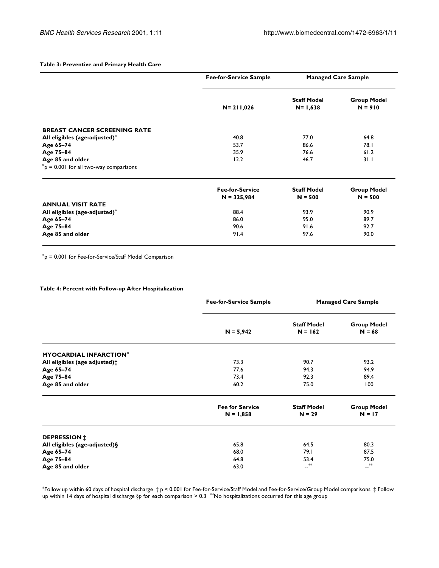## **Table 3: Preventive and Primary Health Care**

|                                            | <b>Fee-for-Service Sample</b><br>$N = 211,026$ | <b>Managed Care Sample</b>        |                                 |
|--------------------------------------------|------------------------------------------------|-----------------------------------|---------------------------------|
|                                            |                                                | <b>Staff Model</b><br>$N = 1,638$ | <b>Group Model</b><br>$N = 910$ |
| <b>BREAST CANCER SCREENING RATE</b>        |                                                |                                   |                                 |
| All eligibles (age-adjusted)*              | 40.8                                           | 77.0                              | 64.8                            |
| Age 65-74                                  | 53.7                                           | 86.6                              | 78.I                            |
| Age 75-84                                  | 35.9                                           | 76.6                              | 61.2                            |
| Age 85 and older                           | 12.2                                           | 46.7                              | 31.1                            |
| $p^*$ = 0.00   for all two-way comparisons |                                                |                                   |                                 |
|                                            | <b>Fee-for-Service</b>                         | <b>Staff Model</b><br>$N = 500$   | <b>Group Model</b><br>$N = 500$ |
| <b>ANNUAL VISIT RATE</b>                   | $N = 325,984$                                  |                                   |                                 |
| All eligibles (age-adjusted)*              | 88.4                                           | 93.9                              | 90.9                            |
| Age 65-74                                  | 86.0                                           | 95.0                              | 89.7                            |
| Age 75-84                                  | 90.6                                           | 91.6                              | 92.7                            |
| Age 85 and older                           | 91.4                                           | 97.6                              | 90.0                            |
|                                            |                                                |                                   |                                 |

 $p^*$ p = 0.001 for Fee-for-Service/Staff Model Comparison

#### **Table 4: Percent with Follow-up After Hospitalization**

|                                           | <b>Fee-for-Service Sample</b><br>$N = 5,942$ | <b>Managed Care Sample</b>      |                                |
|-------------------------------------------|----------------------------------------------|---------------------------------|--------------------------------|
|                                           |                                              | <b>Staff Model</b><br>$N = 162$ | <b>Group Model</b><br>$N = 68$ |
|                                           |                                              |                                 |                                |
| <b>MYOCARDIAL INFARCTION*</b>             |                                              |                                 |                                |
| All eligibles (age adjusted) <sup>+</sup> | 73.3                                         | 90.7                            | 93.2                           |
| Age 65-74                                 | 77.6                                         | 94.3                            | 94.9                           |
| Age 75-84                                 | 73.4                                         | 92.3                            | 89.4                           |
| Age 85 and older                          | 60.2                                         | 75.0                            | 100                            |
|                                           | <b>Fee for Service</b>                       | <b>Staff Model</b>              | <b>Group Model</b>             |
|                                           | $N = 1,858$                                  | $N = 29$                        | $N = 17$                       |
| <b>DEPRESSION ‡</b>                       |                                              |                                 |                                |
| All eligibles (age-adjusted)§             | 65.8                                         | 64.5                            | 80.3                           |
| Age 65-74                                 | 68.0                                         | 79.1                            | 87.5                           |
| Age 75-84                                 | 64.8                                         | 53.4                            | 75.0                           |
| Age 85 and older                          | 63.0                                         | $\mathbb{L}^{\otimes k}$        | …**                            |

\*Follow up within 60 days of hospital discharge † p < 0.001 for Fee-for-Service/Staff Model and Fee-for-Service/Group Model comparisons ‡ Follow up within 14 days of hospital discharge §p for each comparison > 0.3 \*\*No hospitalizations occurred for this age group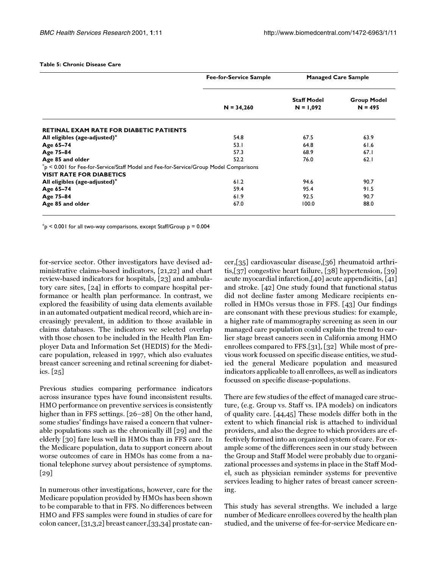## **Table 5: Chronic Disease Care**

|                                                                                           | <b>Fee-for-Service Sample</b> | <b>Managed Care Sample</b>        |                                 |
|-------------------------------------------------------------------------------------------|-------------------------------|-----------------------------------|---------------------------------|
|                                                                                           | $N = 34,260$                  | <b>Staff Model</b><br>$N = 1,092$ | <b>Group Model</b><br>$N = 495$ |
| <b>RETINAL EXAM RATE FOR DIABETIC PATIENTS</b>                                            |                               |                                   |                                 |
| All eligibles (age-adjusted)*                                                             | 54.8                          | 67.5                              | 63.9                            |
| Age 65-74                                                                                 | 53.1                          | 64.8                              | 61.6                            |
| Age 75-84                                                                                 | 57.3                          | 68.9                              | 67.1                            |
| Age 85 and older                                                                          | 52.2                          | 76.0                              | 62.1                            |
| $*_P$ < 0.001 for Fee-for-Service/Staff Model and Fee-for-Service/Group Model Comparisons |                               |                                   |                                 |
| <b>VISIT RATE FOR DIABETICS</b>                                                           |                               |                                   |                                 |
| All eligibles (age-adjusted)*                                                             | 61.2                          | 94.6                              | 90.7                            |
| Age 65-74                                                                                 | 59.4                          | 95.4                              | 91.5                            |
| Age 75-84                                                                                 | 61.9                          | 92.5                              | 90.7                            |
| Age 85 and older                                                                          | 67.0                          | 100.0                             | 88.0                            |

 $p^*$ p < 0.001 for all two-way comparisons, except Staff/Group p = 0.004

for-service sector. Other investigators have devised administrative claims-based indicators, [[21](#page-7-16),[22\]](#page-7-17) and chart review-based indicators for hospitals, [[23\]](#page-7-18) and ambulatory care sites, [\[24](#page-7-19)] in efforts to compare hospital performance or health plan performance. In contrast, we explored the feasibility of using data elements available in an automated outpatient medical record, which are increasingly prevalent, in addition to those available in claims databases. The indicators we selected overlap with those chosen to be included in the Health Plan Employer Data and Information Set (HEDIS) for the Medicare population, released in 1997, which also evaluates breast cancer screening and retinal screening for diabetics. [\[25\]](#page-7-20)

Previous studies comparing performance indicators across insurance types have found inconsistent results. HMO performance on preventive services is consistently higher than in FFS settings. [\[26](#page-7-21)[–28\]](#page-7-22) On the other hand, some studies' findings have raised a concern that vulnerable populations such as the chronically ill [\[29](#page-7-23)] and the elderly [[30](#page-7-24)] fare less well in HMOs than in FFS care. In the Medicare population, data to support concern about worse outcomes of care in HMOs has come from a national telephone survey about persistence of symptoms. [[29\]](#page-7-23)

In numerous other investigations, however, care for the Medicare population provided by HMOs has been shown to be comparable to that in FFS. No differences between HMO and FFS samples were found in studies of care for colon cancer, [[31](#page-7-25),[3](#page-7-26)[,2](#page-7-1)] breast cancer,[\[33](#page-7-27)[,34\]](#page-7-28) prostate cancer,[\[35](#page-7-29)] cardiovascular disease,[[36\]](#page-7-30) rheumatoid arthritis,[[37](#page-7-31)] congestive heart failure, [\[38\]](#page-7-32) hypertension, [[39](#page-7-33)] acute myocardial infarction,[\[40\]](#page-7-34) acute appendicitis, [[41](#page-7-35)] and stroke. [\[42](#page-7-36)] One study found that functional status did not decline faster among Medicare recipients enrolled in HMOs versus those in FFS. [[43](#page-7-37)] Our findings are consonant with these previous studies: for example, a higher rate of mammography screening as seen in our managed care population could explain the trend to earlier stage breast cancers seen in California among HMO enrollees compared to FFS.[[31](#page-7-25)], [\[32](#page-7-38)] While most of previous work focussed on specific disease entities, we studied the general Medicare population and measured indicators applicable to all enrollees, as well as indicators focussed on specific disease-populations.

There are few studies of the effect of managed care structure, (e.g. Group vs. Staff vs. IPA models) on indicators of quality care. [\[44](#page-7-39),[45](#page-7-40)] These models differ both in the extent to which financial risk is attached to individual providers, and also the degree to which providers are effectively formed into an organized system of care. For example some of the differences seen in our study between the Group and Staff Model were probably due to organizational processes and systems in place in the Staff Model, such as physician reminder systems for preventive services leading to higher rates of breast cancer screening.

This study has several strengths. We included a large number of Medicare enrollees covered by the health plan studied, and the universe of fee-for-service Medicare en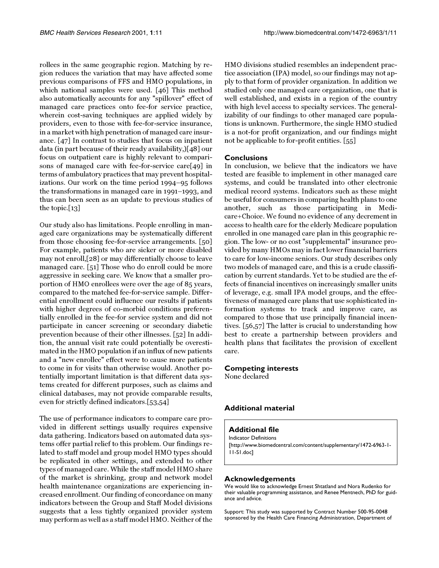rollees in the same geographic region. Matching by region reduces the variation that may have affected some previous comparisons of FFS and HMO populations, in which national samples were used. [[46\]](#page-7-41) This method also automatically accounts for any "spillover" effect of managed care practices onto fee-for service practice, wherein cost-saving techniques are applied widely by providers, even to those with fee-for-service insurance, in a market with high penetration of managed care insurance. [\[47\]](#page-7-42) In contrast to studies that focus on inpatient data (in part because of their ready availability,)[\[48](#page-7-43)] our focus on outpatient care is highly relevant to comparisons of managed care with fee-for-service care[[49\]](#page-7-44) in terms of ambulatory practices that may prevent hospitalizations. Our work on the time period 1994–95 follows the transformations in managed care in 1991–1993, and thus can been seen as an update to previous studies of the topic.[[13](#page-7-9)]

Our study also has limitations. People enrolling in managed care organizations may be systematically different from those choosing fee-for-service arrangements. [\[50](#page-7-45)] For example, patients who are sicker or more disabled may not enroll,[\[28](#page-7-22)] or may differentially choose to leave managed care. [\[51](#page-7-46)] Those who do enroll could be more aggressive in seeking care. We know that a smaller proportion of HMO enrollees were over the age of 85 years, compared to the matched fee-for-service sample. Differential enrollment could influence our results if patients with higher degrees of co-morbid conditions preferentially enrolled in the fee-for service system and did not participate in cancer screening or secondary diabetic prevention because of their other illnesses. [\[52](#page-8-0)] In addition, the annual visit rate could potentially be overestimated in the HMO population if an influx of new patients and a "new enrollee" effect were to cause more patients to come in for visits than otherwise would. Another potentially important limitation is that different data systems created for different purposes, such as claims and clinical databases, may not provide comparable results, even for strictly defined indicators.[[53](#page-8-1),[54](#page-8-2)]

The use of performance indicators to compare care provided in different settings usually requires expensive data gathering. Indicators based on automated data systems offer partial relief to this problem. Our findings related to staff model and group model HMO types should be replicated in other settings, and extended to other types of managed care. While the staff model HMO share of the market is shrinking, group and network model health maintenance organizations are experiencing increased enrollment. Our finding of concordance on many indicators between the Group and Staff Model divisions suggests that a less tightly organized provider system may perform as well as a staff model HMO. Neither of the HMO divisions studied resembles an independent practice association (IPA) model, so our findings may not apply to that form of provider organization. In addition we studied only one managed care organization, one that is well established, and exists in a region of the country with high level access to specialty services. The generalizability of our findings to other managed care populations is unknown. Furthermore, the single HMO studied is a not-for profit organization, and our findings might not be applicable to for-profit entities. [\[55\]](#page-8-3)

## **Conclusions**

In conclusion, we believe that the indicators we have tested are feasible to implement in other managed care systems, and could be translated into other electronic medical record systems. Indicators such as these might be useful for consumers in comparing health plans to one another, such as those participating in Medicare+Choice. We found no evidence of any decrement in access to health care for the elderly Medicare population enrolled in one managed care plan in this geographic region. The low- or no cost "supplemental" insurance provided by many HMOs may in fact lower financial barriers to care for low-income seniors. Our study describes only two models of managed care, and this is a crude classification by current standards. Yet to be studied are the effects of financial incentives on increasingly smaller units of leverage, e.g. small IPA model groups, and the effectiveness of managed care plans that use sophisticated information systems to track and improve care, as compared to those that use principally financial incentives. [\[56](#page-8-4)[,57\]](#page-8-5) The latter is crucial to understanding how best to create a partnership between providers and health plans that facilitates the provision of excellent care.

#### **Competing interests** None declared

## <span id="page-6-0"></span>**Additional material**

## **Additional file**

[Indicator Definitions](http://www.biomedcentral.com/content/supplementary/1472-6963-1-11-S1.doc) [\[http://www.biomedcentral.com/content/supplementary/1472-6963-1-](http://www.biomedcentral.com/content/supplementary/1472-6963-1-11-S1.doc) 11-S1.doc]

## **Acknowledgements**

We would like to acknowledge Ernest Shtatland and Nora Rudenko for their valuable programming assistance, and Renee Mentnech, PhD for guidance and advice.

Support: This study was supported by Contract Number 500-95-0048 sponsored by the Health Care Financing Administration, Department of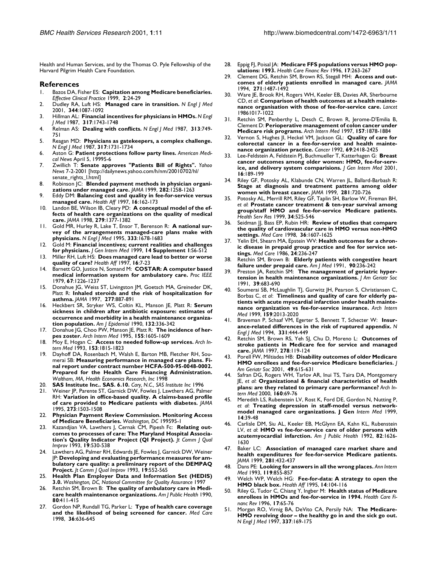Health and Human Services, and by the Thomas O. Pyle Fellowship of the Harvard Pilgrim Health Care Foundation.

#### **References**

- <span id="page-7-0"></span>1. [Bazos DA, Fisher ES:](http://www.ncbi.nlm.nih.gov/entrez/query.fcgi?cmd=Retrieve&db=PubMed&dopt=Abstract&list_uids=10346550) **Capitation among Medicare beneficiaries.** *Effective Clinical Practice* 1999, **2**:24-29
- <span id="page-7-1"></span>2. [Dudley RA, Luft HS:](http://www.ncbi.nlm.nih.gov/entrez/query.fcgi?cmd=Retrieve&db=PubMed&dopt=Abstract&list_uids=11287981) **Managed care in transition.** *N Engl J Med* 2001, **344**:1087-1092
- <span id="page-7-26"></span>3. [Hillman AL:](http://www.ncbi.nlm.nih.gov/entrez/query.fcgi?cmd=Retrieve&db=PubMed&dopt=Abstract&list_uids=3696187) **Financial incentives for physicians in HMOs.** *N Engl J Med* 1987, **317**:1743-1748
- 4. Relman AS: **Dealing with conflicts.** *N Engl J Med* 1987, **313**:749- 751
- <span id="page-7-2"></span>5. [Reagan MD:](http://www.ncbi.nlm.nih.gov/entrez/query.fcgi?cmd=Retrieve&db=PubMed&dopt=Abstract&list_uids=3320750) **Physicians as gatekeepers, a complex challenge.** *N Engl J Med* 1987, **317**:1731-1734
- <span id="page-7-3"></span>6. Aston G: **Patient protections follow party lines.** *American Medical News* April 5, 19995-6
- <span id="page-7-4"></span>7. Zwillich T: **Senate approves "Patients Bill of Rights".** *Yahoo News* [7-2-2001 \[http://dailynews.yahoo.com/h/nm/20010702/hl/](http://dailynews.yahoo.com/h/nm/20010702/hl/senate_rights_l.html) [senate\\_rights\\_l.html\]](http://dailynews.yahoo.com/h/nm/20010702/hl/senate_rights_l.html)
- <span id="page-7-5"></span>8. [Robinson JC:](http://www.ncbi.nlm.nih.gov/entrez/query.fcgi?cmd=Retrieve&db=PubMed&dopt=Abstract&list_uids=10517429) **Blended payment methods in physician organizations under managed care.** *JAMA* 1999, **282**:1258-1263
- <span id="page-7-6"></span>9. Eddy DM: **Balancing cost and quality in fee-for-service versus managed care.** *Health Aff* 1997, **16**:162-173
- Landon BE, Wilson IB, Cleary PD: A conceptual model of the ef**fects of health care organizations on the quality of medical care.** *JAMA* 1998, **279**:1377-1382
- <span id="page-7-7"></span>11. [Gold MR, Hurley R, Lake T, Ensor T, Berenson R:](http://www.ncbi.nlm.nih.gov/entrez/query.fcgi?cmd=Retrieve&db=PubMed&dopt=Abstract&list_uids=7477221) **A national survey of the arrangements managed-care plans make with physicians.** *N Engl J Med* 1995, **333**:1678-1683
- <span id="page-7-8"></span>12. Gold M: **Financial incentives; current realities and challenges for physicians.** *J Gen Intern Med* 1999, **14 Supplement 1**:S6-S12
- <span id="page-7-9"></span>13. Miller RH, Luft HS: **Does managed care lead to better or worse quality of care?** *Health Aff* 1997, **16**:7-23
- <span id="page-7-10"></span>14. Barnett GO, Justice N, Somand M: **COSTAR: A computer based medical information system for ambulatory care.** *Proc IEEE* 1979, **67**:1226-1237
- <span id="page-7-11"></span>15. [Donahue JG, Weiss ST, Livingston JM, Goetsch MA, Greineder DK,](http://www.ncbi.nlm.nih.gov/entrez/query.fcgi?cmd=Retrieve&db=PubMed&dopt=Abstract&list_uids=9062326) [Platt R:](http://www.ncbi.nlm.nih.gov/entrez/query.fcgi?cmd=Retrieve&db=PubMed&dopt=Abstract&list_uids=9062326) **Inhaled steroids and the risk of hospitalization for asthma.** *JAMA* 1997, **277**:887-891
- 16. [Heckbert SR, Stryker WS, Coltin KL, Manson JE, Platt R:](http://www.ncbi.nlm.nih.gov/entrez/query.fcgi?cmd=Retrieve&db=PubMed&dopt=Abstract&list_uids=2115293) **Serum sickness in children after antibiotic exposure: estimates of occurrence and morbidity in a health maintenance organization population.** *Am J Epidemiol* 1990, **132**:336-342
- <span id="page-7-12"></span>17. [Donahue JG, Choo PW, Manson JE, Platt R:](http://www.ncbi.nlm.nih.gov/entrez/query.fcgi?cmd=Retrieve&db=PubMed&dopt=Abstract&list_uids=7618983) **The incidence of herpes zoster.** *Arch Intern Med* 1995, **155**:1605-1609
- <span id="page-7-13"></span>18. [Moy E, Hogan C:](http://www.ncbi.nlm.nih.gov/entrez/query.fcgi?cmd=Retrieve&db=PubMed&dopt=Abstract&list_uids=8392832) **Access to needed follow-up services.** *Arch Intern Med* 1993, **153**:1815-1823
- <span id="page-7-14"></span>19. Dayhoff DA, Rosenbach M, Walsh E, Barton MB, Fletcher RH, Soumerai SB: **Measuring performance in managed care plans. Final report under contract number HCFA-500-95-0048-0002. Prepared for the Health Care Financing Administration.** *Waltham, MA, Health Economics Research, Inc* 1998
- <span id="page-7-15"></span>20. **SAS Institute Inc.. SAS. 6.10.** *Cary, N.C., SAS Institute Inc* 1996
- <span id="page-7-16"></span>21. [Weiner JP, Parente ST, Garnick DW, Fowles J, Lawthers AG, Palmer](http://www.ncbi.nlm.nih.gov/entrez/query.fcgi?cmd=Retrieve&db=PubMed&dopt=Abstract&list_uids=7739076) [RH:](http://www.ncbi.nlm.nih.gov/entrez/query.fcgi?cmd=Retrieve&db=PubMed&dopt=Abstract&list_uids=7739076) **Variation in office-based quality. A claims-based profile of care provided to Medicare patients with diabetes.** *JAMA* 1995, **273**:1503-1508
- <span id="page-7-17"></span>22. **Physician Payment Review Commission. Monitoring Access of Medicare Beneficiaries.** *Washington, DC* 199595-1
- <span id="page-7-18"></span>23. [Kazandjian VA, Lawthers J, Cernak CM, Pipesh Fc:](http://www.ncbi.nlm.nih.gov/entrez/query.fcgi?cmd=Retrieve&db=PubMed&dopt=Abstract&list_uids=8313016) **Relating outcomes to processes of care: The Maryland Hospital Association's Quality Indicator Project (QI Project).** *Jt Comm J Qual Improv* 1993, **19**:530-538
- <span id="page-7-19"></span>24. [Lawthers AG, Palmer RH, Edwards JE, Fowles J, Garnick DW, Weiner](http://www.ncbi.nlm.nih.gov/entrez/query.fcgi?cmd=Retrieve&db=PubMed&dopt=Abstract&list_uids=8118524) [JP:](http://www.ncbi.nlm.nih.gov/entrez/query.fcgi?cmd=Retrieve&db=PubMed&dopt=Abstract&list_uids=8118524) **Developing and evaluating performance measures for ambulatory care quality: a preliminary report of the DEMPAQ Project.** *Jt Comm J Qual Improv* 1993, **19**:552-565
- <span id="page-7-20"></span>25. **Health Plan Employer Data and Information Set (HEDIS) 3.0.** *Washington, DC, National Committee for Quality Assurance* 1997
- <span id="page-7-21"></span>26. [Retchin SM, Brown B:](http://www.ncbi.nlm.nih.gov/entrez/query.fcgi?cmd=Retrieve&db=PubMed&dopt=Abstract&list_uids=2107765) **The quality of ambulatory care in Medicare health maintenance organizations.** *Am J Public Health* 1990, **80**:411-415
- 27. [Gordon NP, Rundall TG, Parker L:](http://www.ncbi.nlm.nih.gov/entrez/query.fcgi?cmd=Retrieve&db=PubMed&dopt=Abstract&list_uids=9596055) **Type of health care coverage and the likelihood of being screened for cancer.** *Med Care* 1998, **36**:636-645
- <span id="page-7-22"></span>28. [Eppig FJ, Poisal JA:](http://www.ncbi.nlm.nih.gov/entrez/query.fcgi?cmd=Retrieve&db=PubMed&dopt=Abstract&list_uids=10158733) **Medicare FFS populations versus HMO populations: 1993.** *Health Care Financ Rev* 1996, **17**:263-267
- <span id="page-7-23"></span>29. [Clement DG, Retchin SM, Brown RS, Stegall MH:](http://www.ncbi.nlm.nih.gov/entrez/query.fcgi?cmd=Retrieve&db=PubMed&dopt=Abstract&list_uids=8176827) **Access and outcomes of elderly patients enrolled in managed care.** *JAMA* 1994, **271**:1487-1492
- <span id="page-7-24"></span>30. Ware JE, Brook RH, Rogers WH, Keeler EB, Davies AR, Sherbourne CD, *et al*: **Comparison of health outcomes at a health maintenance organisation with those of fee-for-service care.** *Lancet* 19861017-1022
- <span id="page-7-25"></span>31. [Retchin SM, Penberthy L, Desch C, Brown R, Jerome-D'Emilia B,](http://www.ncbi.nlm.nih.gov/entrez/query.fcgi?cmd=Retrieve&db=PubMed&dopt=Abstract&list_uids=9290548) [Clement D:](http://www.ncbi.nlm.nih.gov/entrez/query.fcgi?cmd=Retrieve&db=PubMed&dopt=Abstract&list_uids=9290548) **Perioperative management of colon cancer under Medicare risk programs.** *Arch Intern Med* 1997, **157**:1878-1884
- <span id="page-7-38"></span>32. [Vernon S, Hughes JI, Heckel VM, Jackson GL:](http://www.ncbi.nlm.nih.gov/entrez/query.fcgi?cmd=Retrieve&db=PubMed&dopt=Abstract&list_uids=1568165) **Quality of care for colorectal cancer in a fee-for-service and health maintenance organization practice.** *Cancer* 1992, **69**:2418-2425
- <span id="page-7-27"></span>33. [Lee-Feldstein A, Feldstein PJ, Buchmueller T, Katterhagen G:](http://www.ncbi.nlm.nih.gov/entrez/query.fcgi?cmd=Retrieve&db=PubMed&dopt=Abstract&list_uids=11318915) **Breast cancer outcomes among older women: HMO, fee-for-service, and delivery system comparisions.** *J Gen Intern Med* 2001, **16**:189-199
- <span id="page-7-28"></span>34. [Riley GF, Potosky AL, Klabunde CN, Warren JL, Ballard-Barbash R:](http://www.ncbi.nlm.nih.gov/entrez/query.fcgi?cmd=Retrieve&db=PubMed&dopt=Abstract&list_uids=10052442) **Stage at diagnosis and treatment patterns among older women with breast cancer.** *JAMA* 1999, **281**:720-726
- <span id="page-7-29"></span>35. [Potosky AL, Merrill RM, Riley GF, Taplin SH, Barlow W, Fireman BH,](http://www.ncbi.nlm.nih.gov/entrez/query.fcgi?cmd=Retrieve&db=PubMed&dopt=Abstract&list_uids=10357289) *et al*: **Prostate cancer treatment & ten-year survival among group/staff HMO and fee-for-service Medicare patients.** *Health Serv Res* 1999, **34**:525-546
- <span id="page-7-30"></span>36. [Seidman JJ, Bass EP, Rubin HR:](http://www.ncbi.nlm.nih.gov/entrez/query.fcgi?cmd=Retrieve&db=PubMed&dopt=Abstract&list_uids=9860052) **Review of studies that compare the quality of cardiovascular care in HMO versus non-HMO settings.** *Med Care* 1998, **36**:1607-1625
- <span id="page-7-31"></span>37. [Yelin EH, Shearn MA, Epstein WV:](http://www.ncbi.nlm.nih.gov/entrez/query.fcgi?cmd=Retrieve&db=PubMed&dopt=Abstract&list_uids=3951265) **Health outcomes for a chronic disease in prepaid group practice and fee for service settings.** *Med Care* 1986, **24**:236-247
- <span id="page-7-32"></span>38. [Retchin SM, Brown B:](http://www.ncbi.nlm.nih.gov/entrez/query.fcgi?cmd=Retrieve&db=PubMed&dopt=Abstract&list_uids=1996594) **Elderly patients with congestive heart failure under prepaid care.** *Am J Med* 1991, **90**:236-242
- <span id="page-7-33"></span>39. [Preston JA, Retchin SM:](http://www.ncbi.nlm.nih.gov/entrez/query.fcgi?cmd=Retrieve&db=PubMed&dopt=Abstract&list_uids=2061534) **The management of geriatric hypertension in health maintenance organizations.** *J Am Geriatr Soc* 1991, **39**:683-690
- <span id="page-7-34"></span>40. [Soumerai SB, McLaughlin TJ, Gurwitz JH, Pearson S, Christiansen C,](http://www.ncbi.nlm.nih.gov/entrez/query.fcgi?cmd=Retrieve&db=PubMed&dopt=Abstract&list_uids=10510986) [Borbas C,](http://www.ncbi.nlm.nih.gov/entrez/query.fcgi?cmd=Retrieve&db=PubMed&dopt=Abstract&list_uids=10510986) *et al*: **Timeliness and quality of care for elderly patients with acute myocardial infarction under health maintenance organization vs fee-for-service insurance.** *Arch Intern Med* 1999, **159**:2013-2020
- <span id="page-7-35"></span>41. [Braveman P, Schaaf VM, Egerter S, Bennett T, Schecter W:](http://www.ncbi.nlm.nih.gov/entrez/query.fcgi?cmd=Retrieve&db=PubMed&dopt=Abstract&list_uids=7880234) **Insurance-related differences in the risk of ruptured appendix.** *N Engl J Med* 1994, **331**:444-449
- <span id="page-7-36"></span>42. [Retchin SM, Brown RS, Yeh SJ, Chu D, Moreno L:](http://www.ncbi.nlm.nih.gov/entrez/query.fcgi?cmd=Retrieve&db=PubMed&dopt=Abstract&list_uids=9214526) **Outcomes of stroke patients in Medicare fee for service and managed care.** *JAMA* 1997, **278**:119-124
- <span id="page-7-37"></span>43. [Porell FW, Miltiades HB:](http://www.ncbi.nlm.nih.gov/entrez/query.fcgi?cmd=Retrieve&db=PubMed&dopt=Abstract&list_uids=11380756) **Disability outcomes of older Medicare HMO enrollees and fee-for-service Medicare beneficiaries.** *J Am Geriatr Soc* 2001, **49**:615-631
- <span id="page-7-39"></span>Safran DG, Rogers WH, Tarlov AR, Inui TS, Taira DA, Montgomery [JE,](http://www.ncbi.nlm.nih.gov/entrez/query.fcgi?cmd=Retrieve&db=PubMed&dopt=Abstract&list_uids=10632307) *et al*: **Organizational & financial characteristics of health plans: are they related to primary care performance?** *Arch Intern Med* 2000, **160**:69-76
- <span id="page-7-40"></span>45. Meredith LS, Rubenstein LV, Rost K, Ford DE, Gordon N, Nutting P, *et al*: **Treating depression in staff-model versus networkmodel managed care organizations. J Gen** *Intern Med* 1999, **14**:39-48
- <span id="page-7-41"></span>46. [Carlisle DM, Siu AL, Keeler EB, McGlynn EA, Kahn KL, Rubenstein](http://www.ncbi.nlm.nih.gov/entrez/query.fcgi?cmd=Retrieve&db=PubMed&dopt=Abstract&list_uids=1456337) [LV,](http://www.ncbi.nlm.nih.gov/entrez/query.fcgi?cmd=Retrieve&db=PubMed&dopt=Abstract&list_uids=1456337) *et al*: **HMO vs fee-for-service care of older persons with acutemyocardial infarction.** *Am J Public Health* 1992, **82**:1626- 1630
- <span id="page-7-42"></span>47. [Baker LC:](http://www.ncbi.nlm.nih.gov/entrez/query.fcgi?cmd=Retrieve&db=PubMed&dopt=Abstract&list_uids=9952203) **Association of managed care market share and health expenditures for fee-for-service Medicare patients.** *JAMA* 1999, **281**:432-437
- <span id="page-7-43"></span>48. [Dans PE:](http://www.ncbi.nlm.nih.gov/entrez/query.fcgi?cmd=Retrieve&db=PubMed&dopt=Abstract&list_uids=8379608) **Looking for answers in all the wrong places.** *Ann Intern Med* 1993, **119**:855-857
- <span id="page-7-44"></span>49. Welch WP, Welch HG: **Fee-for-data: A strategy to open the HMO black box.** *Health Aff* 1995, **14**:104-116
- <span id="page-7-45"></span>50. [Riley G, Tudor C, Chiang Y, Ingber M:](http://www.ncbi.nlm.nih.gov/entrez/query.fcgi?cmd=Retrieve&db=PubMed&dopt=Abstract&list_uids=10165714) **Health status of Medicare enrollees in HMOs and fee-for-service in 1994.** *Health Care Financ Rev* 1996, **17**:65-76
- <span id="page-7-46"></span>51. [Morgan RO, Virnig BA, DeVito CA, Persily NA:](http://www.ncbi.nlm.nih.gov/entrez/query.fcgi?cmd=Retrieve&db=PubMed&dopt=Abstract&list_uids=9219704) **The Medicare-HMO revolving door – the healthy go in and the sick go out.** *N Engl J Med* 1997, **337**:169-175